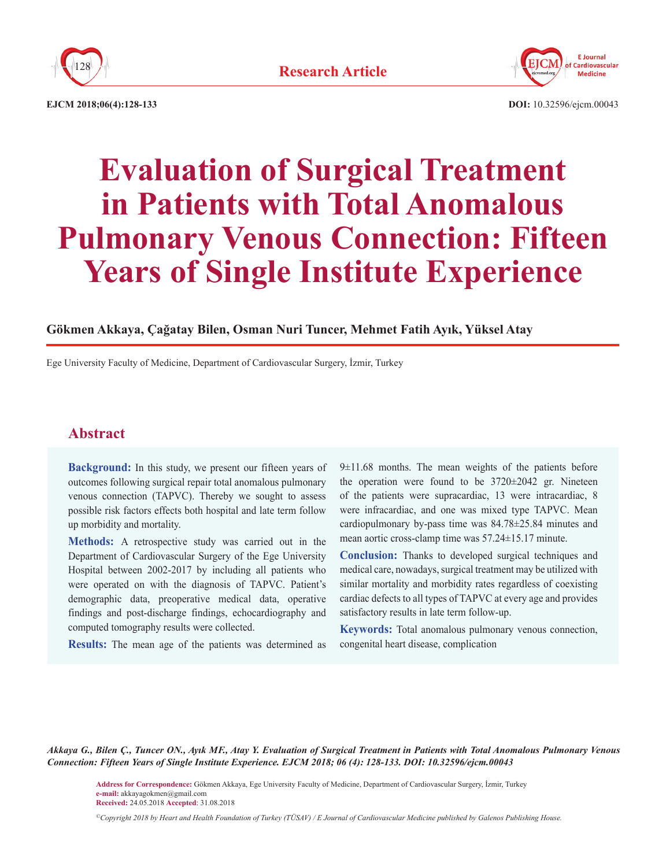



**EJCM 2018;06(4):128-133 DOI:** 10.32596/ejcm.00043

# **Evaluation of Surgical Treatment in Patients with Total Anomalous Pulmonary Venous Connection: Fifteen Years of Single Institute Experience**

### **Gökmen Akkaya, Çağatay Bilen, Osman Nuri Tuncer, Mehmet Fatih Ayık, Yüksel Atay**

Ege University Faculty of Medicine, Department of Cardiovascular Surgery, İzmir, Turkey

## **Abstract**

**Background:** In this study, we present our fifteen years of outcomes following surgical repair total anomalous pulmonary venous connection (TAPVC). Thereby we sought to assess possible risk factors effects both hospital and late term follow up morbidity and mortality.

**Methods:** A retrospective study was carried out in the Department of Cardiovascular Surgery of the Ege University Hospital between 2002-2017 by including all patients who were operated on with the diagnosis of TAPVC. Patient's demographic data, preoperative medical data, operative findings and post-discharge findings, echocardiography and computed tomography results were collected.

**Results:** The mean age of the patients was determined as

9±11.68 months. The mean weights of the patients before the operation were found to be 3720±2042 gr. Nineteen of the patients were supracardiac, 13 were intracardiac, 8 were infracardiac, and one was mixed type TAPVC. Mean cardiopulmonary by-pass time was 84.78±25.84 minutes and mean aortic cross-clamp time was 57.24±15.17 minute.

**Conclusion:** Thanks to developed surgical techniques and medical care, nowadays, surgical treatment may be utilized with similar mortality and morbidity rates regardless of coexisting cardiac defects to all types of TAPVC at every age and provides satisfactory results in late term follow-up.

**Keywords:** Total anomalous pulmonary venous connection, congenital heart disease, complication

*Akkaya G., Bilen Ç., Tuncer ON., Ayık MF., Atay Y. Evaluation of Surgical Treatment in Patients with Total Anomalous Pulmonary Venous Connection: Fifteen Years of Single Institute Experience. EJCM 2018; 06 (4): 128-133. DOI: 10.32596/ejcm.00043*

**Address for Correspondence:** Gökmen Akkaya, Ege University Faculty of Medicine, Department of Cardiovascular Surgery, İzmir, Turkey **e-mail:** akkayagokmen@gmail.com **Received:** 24.05.2018 **Accepted**: 31.08.2018

*©Copyright 2018 by Heart and Health Foundation of Turkey (TÜSAV) / E Journal of Cardiovascular Medicine published by Galenos Publishing House.*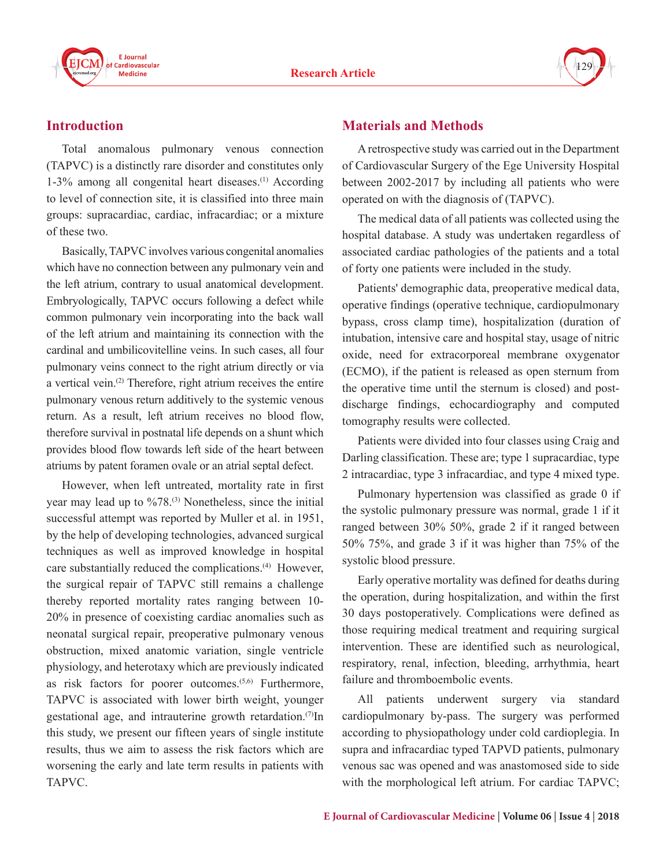



# **Introduction**

Total anomalous pulmonary venous connection (TAPVC) is a distinctly rare disorder and constitutes only  $1-3\%$  among all congenital heart diseases.<sup>(1)</sup> According to level of connection site, it is classified into three main groups: supracardiac, cardiac, infracardiac; or a mixture of these two.

Basically, TAPVC involves various congenital anomalies which have no connection between any pulmonary vein and the left atrium, contrary to usual anatomical development. Embryologically, TAPVC occurs following a defect while common pulmonary vein incorporating into the back wall of the left atrium and maintaining its connection with the cardinal and umbilicovitelline veins. In such cases, all four pulmonary veins connect to the right atrium directly or via a vertical vein.(2) Therefore, right atrium receives the entire pulmonary venous return additively to the systemic venous return. As a result, left atrium receives no blood flow, therefore survival in postnatal life depends on a shunt which provides blood flow towards left side of the heart between atriums by patent foramen ovale or an atrial septal defect.

However, when left untreated, mortality rate in first year may lead up to %78.<sup>(3)</sup> Nonetheless, since the initial successful attempt was reported by Muller et al. in 1951, by the help of developing technologies, advanced surgical techniques as well as improved knowledge in hospital care substantially reduced the complications.<sup>(4)</sup> However, the surgical repair of TAPVC still remains a challenge thereby reported mortality rates ranging between 10- 20% in presence of coexisting cardiac anomalies such as neonatal surgical repair, preoperative pulmonary venous obstruction, mixed anatomic variation, single ventricle physiology, and heterotaxy which are previously indicated as risk factors for poorer outcomes.<sup>(5,6)</sup> Furthermore, TAPVC is associated with lower birth weight, younger gestational age, and intrauterine growth retardation.<sup>(7)</sup>In this study, we present our fifteen years of single institute results, thus we aim to assess the risk factors which are worsening the early and late term results in patients with TAPVC.

## **Materials and Methods**

A retrospective study was carried out in the Department of Cardiovascular Surgery of the Ege University Hospital between 2002-2017 by including all patients who were operated on with the diagnosis of (TAPVC).

The medical data of all patients was collected using the hospital database. A study was undertaken regardless of associated cardiac pathologies of the patients and a total of forty one patients were included in the study.

Patients' demographic data, preoperative medical data, operative findings (operative technique, cardiopulmonary bypass, cross clamp time), hospitalization (duration of intubation, intensive care and hospital stay, usage of nitric oxide, need for extracorporeal membrane oxygenator (ECMO), if the patient is released as open sternum from the operative time until the sternum is closed) and postdischarge findings, echocardiography and computed tomography results were collected.

Patients were divided into four classes using Craig and Darling classification. These are; type 1 supracardiac, type 2 intracardiac, type 3 infracardiac, and type 4 mixed type.

Pulmonary hypertension was classified as grade 0 if the systolic pulmonary pressure was normal, grade 1 if it ranged between 30% 50%, grade 2 if it ranged between 50% 75%, and grade 3 if it was higher than 75% of the systolic blood pressure.

Early operative mortality was defined for deaths during the operation, during hospitalization, and within the first 30 days postoperatively. Complications were defined as those requiring medical treatment and requiring surgical intervention. These are identified such as neurological, respiratory, renal, infection, bleeding, arrhythmia, heart failure and thromboembolic events.

All patients underwent surgery via standard cardiopulmonary by-pass. The surgery was performed according to physiopathology under cold cardioplegia. In supra and infracardiac typed TAPVD patients, pulmonary venous sac was opened and was anastomosed side to side with the morphological left atrium. For cardiac TAPVC;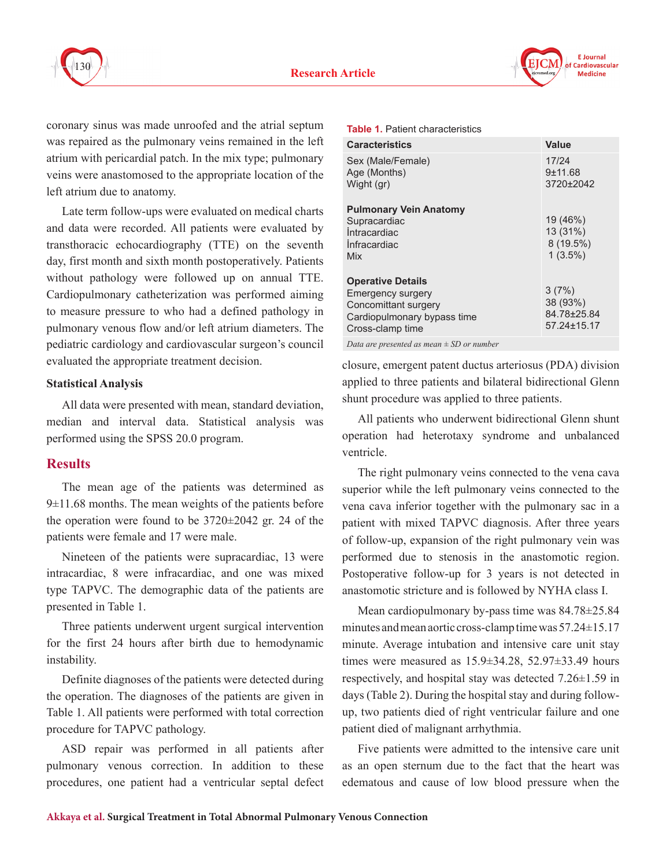



coronary sinus was made unroofed and the atrial septum was repaired as the pulmonary veins remained in the left atrium with pericardial patch. In the mix type; pulmonary veins were anastomosed to the appropriate location of the left atrium due to anatomy.

Late term follow-ups were evaluated on medical charts and data were recorded. All patients were evaluated by transthoracic echocardiography (TTE) on the seventh day, first month and sixth month postoperatively. Patients without pathology were followed up on annual TTE. Cardiopulmonary catheterization was performed aiming to measure pressure to who had a defined pathology in pulmonary venous flow and/or left atrium diameters. The pediatric cardiology and cardiovascular surgeon's council evaluated the appropriate treatment decision.

#### **Statistical Analysis**

All data were presented with mean, standard deviation, median and interval data. Statistical analysis was performed using the SPSS 20.0 program.

## **Results**

The mean age of the patients was determined as 9±11.68 months. The mean weights of the patients before the operation were found to be 3720±2042 gr. 24 of the patients were female and 17 were male.

Nineteen of the patients were supracardiac, 13 were intracardiac, 8 were infracardiac, and one was mixed type TAPVC. The demographic data of the patients are presented in Table 1.

Three patients underwent urgent surgical intervention for the first 24 hours after birth due to hemodynamic instability.

Definite diagnoses of the patients were detected during the operation. The diagnoses of the patients are given in Table 1. All patients were performed with total correction procedure for TAPVC pathology.

ASD repair was performed in all patients after pulmonary venous correction. In addition to these procedures, one patient had a ventricular septal defect

#### **Table 1.** Patient characteristics

| <b>Caracteristics</b>                                                                                                           | Value                                           |
|---------------------------------------------------------------------------------------------------------------------------------|-------------------------------------------------|
| Sex (Male/Female)<br>Age (Months)<br>Wight (gr)                                                                                 | 17/24<br>9±11.68<br>3720±2042                   |
| <b>Pulmonary Vein Anatomy</b><br>Supracardiac<br><i><b>Intracardiac</b></i><br>Infracardiac<br>Mix                              | 19 (46%)<br>13 (31%)<br>8 (19.5%)<br>$1(3.5\%)$ |
| <b>Operative Details</b><br><b>Emergency surgery</b><br>Concomittant surgery<br>Cardiopulmonary bypass time<br>Cross-clamp time | 3(7%)<br>38 (93%)<br>84.78±25.84<br>57.24±15.17 |
| $D_{\ell}$ , $I$ , $CD$ , $I$                                                                                                   |                                                 |

*Data are presented as mean ± SD or number*

closure, emergent patent ductus arteriosus (PDA) division applied to three patients and bilateral bidirectional Glenn shunt procedure was applied to three patients.

All patients who underwent bidirectional Glenn shunt operation had heterotaxy syndrome and unbalanced ventricle.

The right pulmonary veins connected to the vena cava superior while the left pulmonary veins connected to the vena cava inferior together with the pulmonary sac in a patient with mixed TAPVC diagnosis. After three years of follow-up, expansion of the right pulmonary vein was performed due to stenosis in the anastomotic region. Postoperative follow-up for 3 years is not detected in anastomotic stricture and is followed by NYHA class I.

Mean cardiopulmonary by-pass time was 84.78±25.84 minutes and mean aortic cross-clamp time was 57.24±15.17 minute. Average intubation and intensive care unit stay times were measured as 15.9±34.28, 52.97±33.49 hours respectively, and hospital stay was detected 7.26±1.59 in days (Table 2). During the hospital stay and during followup, two patients died of right ventricular failure and one patient died of malignant arrhythmia.

Five patients were admitted to the intensive care unit as an open sternum due to the fact that the heart was edematous and cause of low blood pressure when the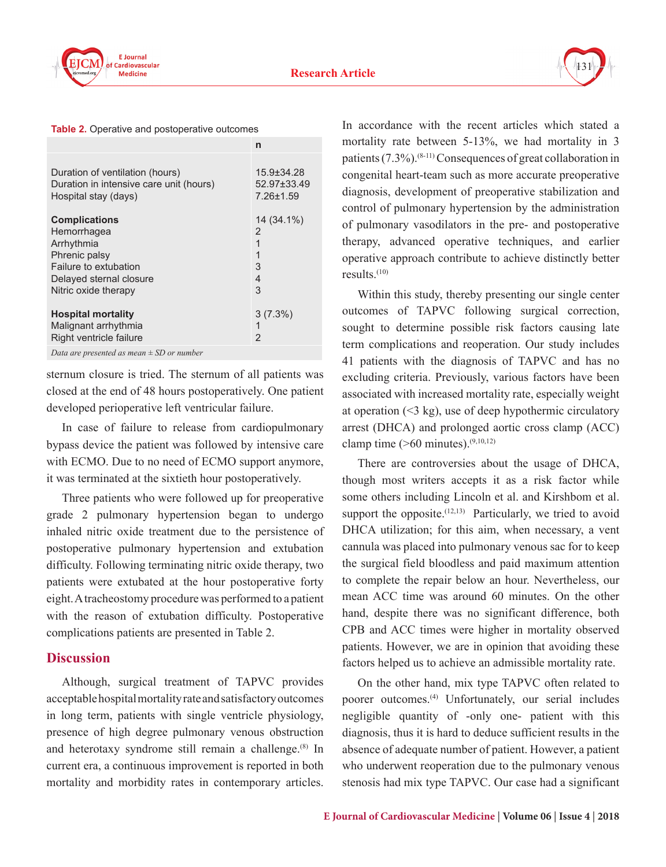



**Table 2.** Operative and postoperative outcomes

|                                               | n                |
|-----------------------------------------------|------------------|
| Duration of ventilation (hours)               | $15.9 \pm 34.28$ |
| Duration in intensive care unit (hours)       | 52.97±33.49      |
| Hospital stay (days)                          | $7.26 \pm 1.59$  |
| <b>Complications</b>                          | 14 (34.1%)       |
| Hemorrhagea                                   | 2                |
| Arrhythmia                                    | 1                |
| Phrenic palsy                                 | 1                |
| Failure to extubation                         | 3                |
| Delayed sternal closure                       | 4                |
| Nitric oxide therapy                          | 3                |
| <b>Hospital mortality</b>                     | $3(7.3\%)$       |
| Malignant arrhythmia                          | 1                |
| Right ventricle failure                       | $\overline{2}$   |
| Data are presented as mean $\pm$ SD or number |                  |

sternum closure is tried. The sternum of all patients was closed at the end of 48 hours postoperatively. One patient developed perioperative left ventricular failure.

In case of failure to release from cardiopulmonary bypass device the patient was followed by intensive care with ECMO. Due to no need of ECMO support anymore, it was terminated at the sixtieth hour postoperatively.

Three patients who were followed up for preoperative grade 2 pulmonary hypertension began to undergo inhaled nitric oxide treatment due to the persistence of postoperative pulmonary hypertension and extubation difficulty. Following terminating nitric oxide therapy, two patients were extubated at the hour postoperative forty eight. A tracheostomy procedure was performed to a patient with the reason of extubation difficulty. Postoperative complications patients are presented in Table 2.

## **Discussion**

Although, surgical treatment of TAPVC provides acceptable hospital mortality rate and satisfactory outcomes in long term, patients with single ventricle physiology, presence of high degree pulmonary venous obstruction and heterotaxy syndrome still remain a challenge.<sup>(8)</sup> In current era, a continuous improvement is reported in both mortality and morbidity rates in contemporary articles.

In accordance with the recent articles which stated a mortality rate between 5-13%, we had mortality in 3 patients (7.3%).(8-11) Consequences of great collaboration in congenital heart-team such as more accurate preoperative diagnosis, development of preoperative stabilization and control of pulmonary hypertension by the administration of pulmonary vasodilators in the pre- and postoperative therapy, advanced operative techniques, and earlier operative approach contribute to achieve distinctly better results. $(10)$ 

Within this study, thereby presenting our single center outcomes of TAPVC following surgical correction, sought to determine possible risk factors causing late term complications and reoperation. Our study includes 41 patients with the diagnosis of TAPVC and has no excluding criteria. Previously, various factors have been associated with increased mortality rate, especially weight at operation  $($   $\leq$  3 kg), use of deep hypothermic circulatory arrest (DHCA) and prolonged aortic cross clamp (ACC) clamp time  $($ >60 minutes).<sup>(9,10,12)</sup>

There are controversies about the usage of DHCA, though most writers accepts it as a risk factor while some others including Lincoln et al. and Kirshbom et al. support the opposite. $(12,13)$  Particularly, we tried to avoid DHCA utilization; for this aim, when necessary, a vent cannula was placed into pulmonary venous sac for to keep the surgical field bloodless and paid maximum attention to complete the repair below an hour. Nevertheless, our mean ACC time was around 60 minutes. On the other hand, despite there was no significant difference, both CPB and ACC times were higher in mortality observed patients. However, we are in opinion that avoiding these factors helped us to achieve an admissible mortality rate.

On the other hand, mix type TAPVC often related to poorer outcomes.(4) Unfortunately, our serial includes negligible quantity of -only one- patient with this diagnosis, thus it is hard to deduce sufficient results in the absence of adequate number of patient. However, a patient who underwent reoperation due to the pulmonary venous stenosis had mix type TAPVC. Our case had a significant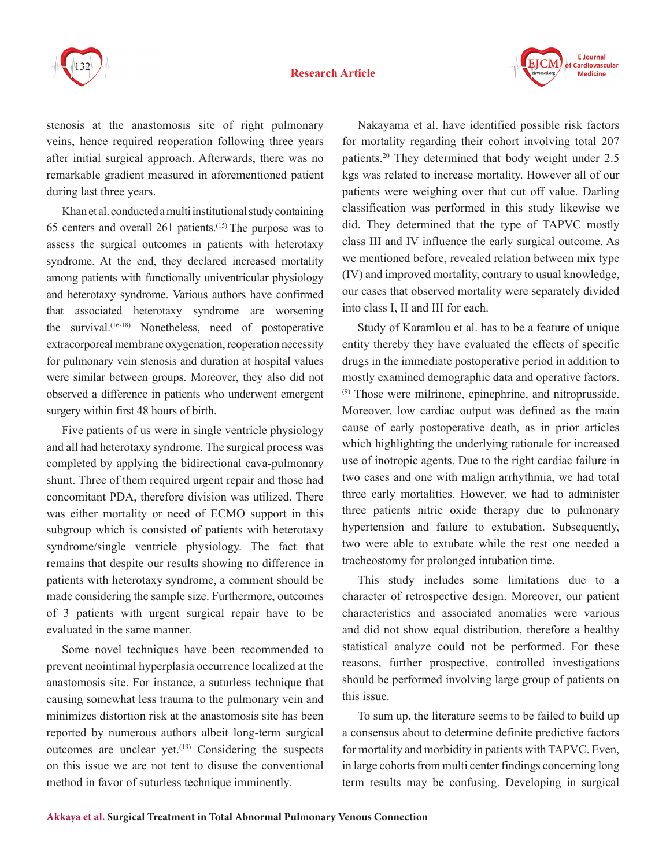

**F** Journal Cardiovascular **Medicine** 

stenosis at the anastomosis site of right pulmonary veins, hence required reoperation following three years after initial surgical approach. Afterwards, there was no remarkable gradient measured in aforementioned patient during last three years.

Khan et al. conducted a multi institutional study containing 65 centers and overall 261 patients. $(15)$  The purpose was to assess the surgical outcomes in patients with heterotaxy syndrome. At the end, they declared increased mortality among patients with functionally univentricular physiology and heterotaxy syndrome. Various authors have confirmed that associated heterotaxy syndrome are worsening the survival.(16-18) Nonetheless, need of postoperative extracorporeal membrane oxygenation, reoperation necessity for pulmonary vein stenosis and duration at hospital values were similar between groups. Moreover, they also did not observed a difference in patients who underwent emergent surgery within first 48 hours of birth.

Five patients of us were in single ventricle physiology and all had heterotaxy syndrome. The surgical process was completed by applying the bidirectional cava-pulmonary shunt. Three of them required urgent repair and those had concomitant PDA, therefore division was utilized. There was either mortality or need of ECMO support in this subgroup which is consisted of patients with heterotaxy syndrome/single ventricle physiology. The fact that remains that despite our results showing no difference in patients with heterotaxy syndrome, a comment should be made considering the sample size. Furthermore, outcomes of 3 patients with urgent surgical repair have to be evaluated in the same manner.

Some novel techniques have been recommended to prevent neointimal hyperplasia occurrence localized at the anastomosis site. For instance, a suturless technique that causing somewhat less trauma to the pulmonary vein and minimizes distortion risk at the anastomosis site has been reported by numerous authors albeit long-term surgical outcomes are unclear yet.<sup> $(19)$ </sup> Considering the suspects on this issue we are not tent to disuse the conventional method in favor of suturless technique imminently.

Nakayama et al. have identified possible risk factors for mortality regarding their cohort involving total 207 patients.20 They determined that body weight under 2.5 kgs was related to increase mortality. However all of our patients were weighing over that cut off value. Darling classification was performed in this study likewise we did. They determined that the type of TAPVC mostly class III and IV influence the early surgical outcome. As we mentioned before, revealed relation between mix type (IV) and improved mortality, contrary to usual knowledge, our cases that observed mortality were separately divided into class I, II and III for each.

Study of Karamlou et al. has to be a feature of unique entity thereby they have evaluated the effects of specific drugs in the immediate postoperative period in addition to mostly examined demographic data and operative factors. (9) Those were milrinone, epinephrine, and nitroprusside. Moreover, low cardiac output was defined as the main cause of early postoperative death, as in prior articles which highlighting the underlying rationale for increased use of inotropic agents. Due to the right cardiac failure in two cases and one with malign arrhythmia, we had total three early mortalities. However, we had to administer three patients nitric oxide therapy due to pulmonary hypertension and failure to extubation. Subsequently, two were able to extubate while the rest one needed a tracheostomy for prolonged intubation time.

This study includes some limitations due to a character of retrospective design. Moreover, our patient characteristics and associated anomalies were various and did not show equal distribution, therefore a healthy statistical analyze could not be performed. For these reasons, further prospective, controlled investigations should be performed involving large group of patients on this issue.

To sum up, the literature seems to be failed to build up a consensus about to determine definite predictive factors for mortality and morbidity in patients with TAPVC. Even, in large cohorts from multi center findings concerning long term results may be confusing. Developing in surgical